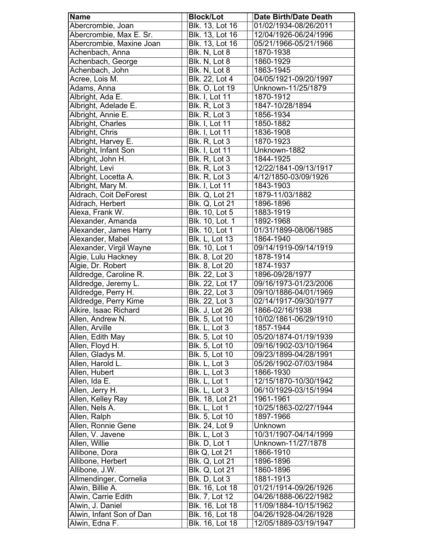| <b>Name</b>              | <b>Block/Lot</b>      | <b>Date Birth/Date Death</b> |
|--------------------------|-----------------------|------------------------------|
| Abercrombie, Joan        | Blk. 13, Lot 16       | 01/02/1934-08/26/2011        |
| Abercrombie, Max E. Sr.  | Blk. 13, Lot 16       | 12/04/1926-06/24/1996        |
| Abercrombie, Maxine Joan | Blk. 13, Lot 16       | 05/21/1966-05/21/1966        |
| Achenbach, Anna          | Blk. N, Lot 8         | 1870-1938                    |
| Achenbach, George        | Blk. N, Lot 8         | 1860-1929                    |
| Achenbach, John          | Blk. N, Lot 8         | 1863-1945                    |
| Acree, Lois M.           | Blk. 22, Lot 4        | 04/05/1921-09/20/1997        |
| Adams, Anna              | Blk. O, Lot 19        | Unknown-11/25/1879           |
| Albright, Ada E.         | <b>Blk. I, Lot 11</b> | 1870-1912                    |
| Albright, Adelade E.     | Blk. R, Lot 3         | 1847-10/28/1894              |
| Albright, Annie E.       | Blk. R, Lot 3         | 1856-1934                    |
| Albright, Charles        | <b>Blk. I, Lot 11</b> | 1850-1882                    |
| Albright, Chris          | <b>Blk. I, Lot 11</b> | 1836-1908                    |
| Albright, Harvey E.      | Blk. R, Lot 3         | 1870-1923                    |
| Albright, Infant Son     | <b>Blk. I, Lot 11</b> | Unknown-1882                 |
| Albright, John H.        | Blk. R, Lot 3         | 1844-1925                    |
| Albright, Levi           | Blk. R, Lot 3         | 12/22/1841-09/13/1917        |
| Albright, Locetta A.     | Blk. R, Lot 3         | 4/12/1850-03/09/1926         |
| Albright, Mary M.        | <b>Blk. I, Lot 11</b> | 1843-1903                    |
| Aldrach, Coit DeForest   | <b>Blk. Q, Lot 21</b> | 1879-11/03/1882              |
| Aldrach, Herbert         | <b>Blk. Q, Lot 21</b> | 1896-1896                    |
| Alexa, Frank W.          | Blk. 10, Lot 5        | 1883-1919                    |
| Alexander, Amanda        | Blk. 10, Lot. 1       | 1892-1968                    |
| Alexander, James Harry   | Blk. 10, Lot 1        | 01/31/1899-08/06/1985        |
| Alexander, Mabel         | <b>Blk. L, Lot 13</b> | 1864-1940                    |
| Alexander, Virgil Wayne  | Blk. 10, Lot 1        | 09/14/1919-09/14/1919        |
| Algie, Lulu Hackney      | Blk. 8, Lot 20        | 1878-1914                    |
| Algie, Dr. Robert        | Blk. 8, Lot 20        | 1874-1937                    |
| Alldredge, Caroline R.   | Blk. 22, Lot 3        | 1896-09/28/1977              |
| Alldredge, Jeremy L.     | Blk. 22, Lot 17       | 09/16/1973-01/23/2006        |
| Alldredge, Perry H.      | Blk. 22, Lot 3        | 09/10/1886-04/01/1969        |
| Alldredge, Perry Kime    | Blk. 22, Lot 3        | 02/14/1917-09/30/1977        |
| Alkire, Isaac Richard    | <b>Blk. J, Lot 26</b> | 1866-02/16/1938              |
| Allen, Andrew N.         | Blk. 5, Lot 10        | 10/02/1861-06/29/1910        |
| Allen, Arville           | Blk. L, Lot 3         | 1857-1944                    |
| Allen, Edith May         | Blk. 5, Lot 10        | 05/20/1874-01/19/1939        |
| Allen, Floyd H.          | Blk. 5, Lot 10        | 09/16/1902-03/10/1964        |
| Allen, Gladys M.         | Blk. 5, Lot 10        | 09/23/1899-04/28/1991        |
| Allen, Harold L.         | Blk. L, Lot 3         | 05/26/1902-07/03/1984        |
| Allen, Hubert            | Blk. L, Lot 3         | 1866-1930                    |
| Allen, Ida E.            | Blk. L, Lot 1         | 12/15/1870-10/30/1942        |
| Allen, Jerry H.          | Blk. L, Lot 3         | 06/10/1929-03/15/1994        |
| Allen, Kelley Ray        | Blk. 18, Lot 21       | 1961-1961                    |
| Allen, Nels A.           | Blk. L, Lot 1         | 10/25/1863-02/27/1944        |
| Allen, Ralph             | Blk. 5, Lot 10        | 1897-1966                    |
| Allen, Ronnie Gene       | Blk. 24, Lot 9        | Unknown                      |
| Allen, V. Javene         | Blk. L, Lot 3         | 10/31/1907-04/14/1999        |
| Allen, Willie            | Blk. D, Lot 1         | Unknown-11/27/1878           |
| Allibone, Dora           | Blk Q, Lot 21         | 1866-1910                    |
| Allibone, Herbert        | Blk. Q, Lot 21        | 1896-1896                    |
| Allibone, J.W.           | Blk. Q, Lot 21        | 1860-1896                    |
| Allmendinger, Cornelia   | Blk. D, Lot 3         | 1881-1913                    |
| Alwin, Billie A.         | Blk. 16, Lot 18       | 01/21/1914-09/26/1926        |
| Alwin, Carrie Edith      | Blk. 7, Lot 12        | 04/26/1888-06/22/1982        |
| Alwin, J. Daniel         | Blk. 16, Lot 18       | 11/09/1884-10/15/1962        |
| Alwin, Infant Son of Dan | Blk. 16, Lot 18       | 04/26/1928-04/26/1928        |
| Alwin, Edna F.           | Blk. 16, Lot 18       | 12/05/1889-03/19/1947        |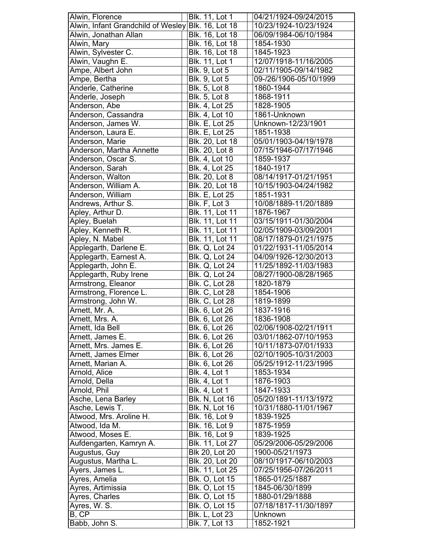| Alwin, Florence                    | Blk. 11, Lot 1         | 04/21/1924-09/24/2015  |
|------------------------------------|------------------------|------------------------|
| Alwin, Infant Grandchild of Wesley | <b>Blk. 16, Lot 18</b> | 10/23/1924-10/23/1924  |
| Alwin, Jonathan Allan              | Blk. 16, Lot 18        | 06/09/1984-06/10/1984  |
| Alwin, Mary                        | Blk. 16, Lot 18        | 1854-1930              |
| Alwin, Sylvester C.                | Blk. 16, Lot 18        | 1845-1923              |
| Alwin, Vaughn E.                   | Blk. 11, Lot 1         | 12/07/1918-11/16/2005  |
| Ampe, Albert John                  | <b>Blk. 9, Lot 5</b>   | 02/11/1905-09/14/1982  |
| Ampe, Bertha                       | Blk. 9, Lot 5          | 09-/26/1906-05/10/1999 |
| Anderle, Catherine                 | Blk. 5, Lot 8          | 1860-1944              |
| Anderle, Joseph                    | <b>Blk. 5, Lot 8</b>   | 1868-1911              |
| Anderson, Abe                      | Blk. 4, Lot 25         | 1828-1905              |
| Anderson, Cassandra                | Blk. 4, Lot 10         | 1861-Unknown           |
| Anderson, James W.                 | <b>Blk. E, Lot 25</b>  | Unknown-12/23/1901     |
| Anderson, Laura E.                 | <b>Blk. E, Lot 25</b>  |                        |
|                                    |                        | 1851-1938              |
| Anderson, Marie                    | Blk. 20, Lot 18        | 05/01/1903-04/19/1978  |
| Anderson, Martha Annette           | <b>Blk. 20, Lot 8</b>  | 07/15/1946-07/17/1946  |
| Anderson, Oscar S.                 | Blk. 4, Lot 10         | 1859-1937              |
| Anderson, Sarah                    | Blk. 4, Lot 25         | 1840-1917              |
| Anderson, Walton                   | Blk. 20, Lot 8         | 08/14/1917-01/21/1951  |
| Anderson, William A.               | Blk. 20, Lot 18        | 10/15/1903-04/24/1982  |
| Anderson, William                  | <b>Blk. E, Lot 25</b>  | 1851-1931              |
| Andrews, Arthur S.                 | Blk. F, Lot 3          | 10/08/1889-11/20/1889  |
| Apley, Arthur D.                   | Blk. 11, Lot 11        | 1876-1967              |
| Apley, Buelah                      | Blk. 11, Lot 11        | 03/15/1911-01/30/2004  |
| Apley, Kenneth R.                  | Blk. 11, Lot 11        | 02/05/1909-03/09/2001  |
| Apley, N. Mabel                    | Blk. 11, Lot 11        | 08/17/1879-01/21/1975  |
| Applegarth, Darlene E.             | <b>Blk. Q, Lot 24</b>  | 01/22/1931-11/05/2014  |
| Applegarth, Earnest A.             | <b>Blk. Q, Lot 24</b>  | 04/09/1926-12/30/2013  |
| Applegarth, John E.                | <b>Blk. Q, Lot 24</b>  | 11/25/1892-11/03/1983  |
| Applegarth, Ruby Irene             | Blk. Q, Lot 24         | 08/27/1900-08/28/1965  |
| Armstrong, Eleanor                 | <b>Blk. C, Lot 28</b>  | 1820-1879              |
| Armstrong, Florence L.             | <b>Blk. C, Lot 28</b>  | 1854-1906              |
|                                    | <b>Blk. C, Lot 28</b>  |                        |
| Armstrong, John W.                 |                        | 1819-1899              |
| Arnett, Mr. A.                     | Blk. 6, Lot 26         | 1837-1916              |
| Arnett, Mrs. A.                    | Blk. 6, Lot 26         | 1836-1908              |
| Arnett, Ida Bell                   | Blk. 6, Lot 26         | 02/06/1908-02/21/1911  |
| Arnett, James E.                   | Blk. 6, Lot 26         | 03/01/1862-07/10/1953  |
| Arnett, Mrs. James E.              | Blk. 6, Lot 26         | 10/11/1873-07/01/1933  |
| <b>Arnett, James Elmer</b>         | Blk. 6, Lot 26         | 02/10/1905-10/31/2003  |
| Arnett, Marian A.                  | Blk. 6, Lot 26         | 05/25/1912-11/23/1995  |
| Arnold, Alice                      | <b>Blk. 4, Lot 1</b>   | 1853-1934              |
| Arnold, Della                      | <b>Blk. 4, Lot 1</b>   | 1876-1903              |
| Arnold, Phil                       | <b>Blk. 4, Lot 1</b>   | 1847-1933              |
| Asche, Lena Barley                 | <b>Blk. N, Lot 16</b>  | 05/20/1891-11/13/1972  |
| Asche, Lewis T.                    | <b>Blk. N, Lot 16</b>  | 10/31/1880-11/01/1967  |
| Atwood, Mrs. Aroline H.            | Blk. 16, Lot 9         | 1839-1925              |
| Atwood, Ida M.                     | Blk. 16, Lot 9         | 1875-1959              |
| Atwood, Moses E.                   | Blk. 16, Lot 9         | 1839-1925              |
| Aufdengarten, Kamryn A.            | Blk. 11, Lot 27        | 05/29/2006-05/29/2006  |
| Augustus, Guy                      | Blk 20, Lot 20         | 1900-05/21/1973        |
| Augustus, Martha L.                | Blk. 20, Lot 20        | 08/10/1917-06/10/2003  |
| Ayers, James L.                    | Blk. 11, Lot 25        | 07/25/1956-07/26/2011  |
| Ayres, Amelia                      | <b>Blk. O, Lot 15</b>  | 1865-01/25/1887        |
|                                    | <b>Blk. O, Lot 15</b>  | 1845-06/30/1899        |
| Ayres, Artimissia                  |                        |                        |
| Ayres, Charles                     | <b>Blk. O, Lot 15</b>  | 1880-01/29/1888        |
| Ayres, W. S.                       | <b>Blk. O, Lot 15</b>  | 07/18/1817-11/30/1897  |
| B, CP                              | <b>Blk. L, Lot 23</b>  | Unknown                |
| Babb, John S.                      | Blk. 7, Lot 13         | 1852-1921              |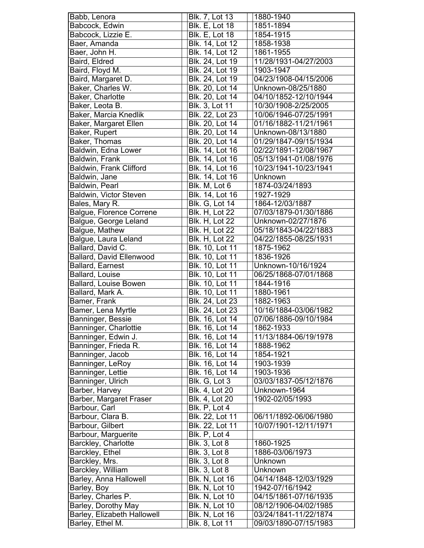| Babb, Lenora                                    | Blk. 7, Lot 13         | 1880-1940             |
|-------------------------------------------------|------------------------|-----------------------|
| Babcock, Edwin                                  | <b>Blk. E, Lot 18</b>  | 1851-1894             |
| Babcock, Lizzie E.                              | <b>Blk. E, Lot 18</b>  | 1854-1915             |
| Baer, Amanda                                    | Blk. 14, Lot 12        | 1858-1938             |
| Baer, John H.                                   | Blk. 14, Lot 12        | 1861-1955             |
| Baird, Eldred                                   | Blk. 24, Lot 19        | 11/28/1931-04/27/2003 |
| Baird, Floyd M.                                 | Blk. 24, Lot 19        | 1903-1947             |
| Baird, Margaret D.                              | Blk. 24, Lot 19        | 04/23/1908-04/15/2006 |
| Baker, Charles W.                               | Blk. 20, Lot 14        | Unknown-08/25/1880    |
| Baker, Charlotte                                | Blk. 20, Lot 14        | 04/10/1852-12/10/1944 |
| Baker, Leota B.                                 | <b>Blk. 3, Lot 11</b>  | 10/30/1908-2/25/2005  |
| Baker, Marcia Knedlik                           | Blk. 22, Lot 23        | 10/06/1946-07/25/1991 |
| Baker, Margaret Ellen                           | Blk. 20, Lot 14        | 01/16/1882-11/21/1961 |
| Baker, Rupert                                   | Blk. 20, Lot 14        | Unknown-08/13/1880    |
| Baker, Thomas                                   | Blk. 20, Lot 14        | 01/29/1847-09/15/1934 |
| Baldwin, Edna Lower                             | Blk. 14, Lot 16        | 02/22/1891-12/08/1967 |
| Baldwin, Frank                                  | Blk. 14, Lot 16        | 05/13/1941-01/08/1976 |
| <b>Baldwin, Frank Clifford</b>                  | <b>Blk.</b> 14, Lot 16 | 10/23/1941-10/23/1941 |
| Baldwin, Jane                                   | Blk. 14, Lot 16        | Unknown               |
|                                                 |                        | 1874-03/24/1893       |
| Baldwin, Pearl<br><b>Baldwin, Victor Steven</b> | Blk. M, Lot 6          |                       |
|                                                 | Blk. 14, Lot 16        | 1927-1929             |
| Bales, Mary R.                                  | <b>Blk. G, Lot 14</b>  | 1864-12/03/1887       |
| <b>Balgue, Florence Correne</b>                 | <b>Blk. H, Lot 22</b>  | 07/03/1879-01/30/1886 |
| Balgue, George Leland                           | <b>Blk. H, Lot 22</b>  | Unknown-02/27/1876    |
| Balgue, Mathew                                  | Blk. H, Lot 22         | 05/18/1843-04/22/1883 |
| Balgue, Laura Leland                            | <b>Blk. H, Lot 22</b>  | 04/22/1855-08/25/1931 |
| Ballard, David C.                               | Blk. 10, Lot 11        | 1875-1962             |
| <b>Ballard, David Ellenwood</b>                 | Blk. 10, Lot 11        | 1836-1926             |
| <b>Ballard, Earnest</b>                         | Blk. 10, Lot 11        | Unknown-10/16/1924    |
| Ballard, Louise                                 | Blk. 10, Lot 11        | 06/25/1868-07/01/1868 |
| <b>Ballard, Louise Bowen</b>                    | Blk. 10, Lot 11        | 1844-1916             |
| Ballard, Mark A.                                | <b>Blk. 10, Lot 11</b> | 1880-1961             |
| Bamer, Frank                                    | <b>Blk. 24, Lot 23</b> | 1882-1963             |
| Bamer, Lena Myrtle                              | Blk. 24, Lot 23        | 10/16/1884-03/06/1982 |
| Banninger, Bessie                               | Blk. 16, Lot 14        | 07/06/1886-09/10/1984 |
| Banninger, Charlottie                           | Blk. 16, Lot 14        | 1862-1933             |
| Banninger, Edwin J.                             | Blk. 16, Lot 14        | 11/13/1884-06/19/1978 |
| Banninger, Frieda R.                            | Blk. 16, Lot 14        | 1888-1962             |
| Banninger, Jacob                                | Blk. 16, Lot 14        | 1854-1921             |
| Banninger, LeRoy                                | Blk. 16, Lot 14        | 1903-1939             |
| Banninger, Lettie                               | Blk. 16, Lot 14        | 1903-1936             |
| Banninger, Ulrich                               | Blk. G, Lot 3          | 03/03/1837-05/12/1876 |
| Barber, Harvey                                  | Blk. 4, Lot 20         | Unknown-1964          |
| Barber, Margaret Fraser                         | Blk. 4, Lot 20         | 1902-02/05/1993       |
| Barbour, Carl                                   | Blk. P, Lot 4          |                       |
| Barbour, Clara B.                               | <b>Blk. 22, Lot 11</b> | 06/11/1892-06/06/1980 |
| Barbour, Gilbert                                | Blk. 22, Lot 11        | 10/07/1901-12/11/1971 |
| Barbour, Marguerite                             | Blk. P, Lot 4          |                       |
| Barckley, Charlotte                             | <b>Blk. 3, Lot 8</b>   | 1860-1925             |
| Barckley, Ethel                                 | <b>Blk. 3, Lot 8</b>   | 1886-03/06/1973       |
| Barckley, Mrs.                                  | <b>Blk. 3, Lot 8</b>   | Unknown               |
| Barckley, William                               | <b>Blk. 3, Lot 8</b>   | Unknown               |
| Barley, Anna Hallowell                          | <b>Blk. N, Lot 16</b>  | 04/14/1848-12/03/1929 |
| Barley, Boy                                     | <b>Blk. N, Lot 10</b>  | 1942-07/16/1942       |
| Barley, Charles P.                              | Blk. N, Lot 10         | 04/15/1861-07/16/1935 |
| Barley, Dorothy May                             | Blk. N, Lot 10         | 08/12/1906-04/02/1985 |
| Barley, Elizabeth Hallowell                     | Blk. N, Lot 16         | 03/24/1841-11/22/1874 |
|                                                 | Blk. 8, Lot 11         |                       |
| Barley, Ethel M.                                |                        | 09/03/1890-07/15/1983 |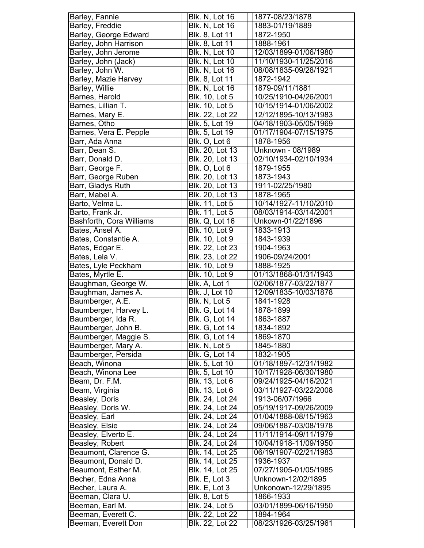| Barley, Fannie           | <b>Blk. N, Lot 16</b> | 1877-08/23/1878                    |
|--------------------------|-----------------------|------------------------------------|
| Barley, Freddie          | Blk. N, Lot 16        | 1883-01/19/1889                    |
| Barley, George Edward    | Blk. 8, Lot 11        | 1872-1950                          |
| Barley, John Harrison    | <b>Blk. 8, Lot 11</b> | 1888-1961                          |
| Barley, John Jerome      | Blk. N, Lot 10        | 12/03/1899-01/06/1980              |
| Barley, John (Jack)      | <b>Blk. N, Lot 10</b> | 11/10/1930-11/25/2016              |
| Barley, John W.          | Blk. N, Lot 16        | 08/08/1835-09/28/1921              |
| Barley, Mazie Harvey     | Blk. 8, Lot 11        | 1872-1942                          |
| Barley, Willie           | <b>Blk. N, Lot 16</b> | 1879-09/11/1881                    |
| Barnes, Harold           | Blk. 10, Lot 5        | 10/25/1910-04/26/2001              |
| Barnes, Lillian T.       | Blk. 10, Lot 5        | 10/15/1914-01/06/2002              |
| Barnes, Mary E.          | Blk. 22, Lot 22       | 12/12/1895-10/13/1983              |
| Barnes, Otho             | Blk. 5, Lot 19        | 04/18/1903-05/05/1969              |
| Barnes, Vera E. Pepple   | Blk. 5, Lot 19        | 01/17/1904-07/15/1975              |
| Barr, Ada Anna           | Blk. O, Lot 6         | 1878-1956                          |
| Barr, Dean S.            | Blk. 20, Lot 13       | Unknown - 08/1989                  |
| Barr, Donald D.          | Blk. 20, Lot 13       | 02/10/1934-02/10/1934              |
| Barr, George F.          | Blk. O, Lot 6         | 1879-1955                          |
| Barr, George Ruben       | Blk. 20, Lot 13       | 1873-1943                          |
| Barr, Gladys Ruth        | Blk. 20, Lot 13       | 1911-02/25/1980                    |
| Barr, Mabel A.           | Blk. 20, Lot 13       | 1878-1965                          |
| Barto, Velma L.          | <b>Blk. 11, Lot 5</b> | 10/14/1927-11/10/2010              |
| Barto, Frank Jr.         | Blk. 11, Lot 5        | 08/03/1914-03/14/2001              |
| Bashforth, Cora Williams | Blk. Q, Lot 16        | Unkown-01/22/1896                  |
| Bates, Ansel A.          | <b>Blk. 10, Lot 9</b> | 1833-1913                          |
|                          |                       |                                    |
| Bates, Constantie A.     | Blk. 10, Lot 9        | 1843-1939                          |
| Bates, Edgar E.          | Blk. 22, Lot 23       | 1904-1963                          |
| Bates, Lela V.           | Blk. 23, Lot 22       | 1906-09/24/2001                    |
| Bates, Lyle Peckham      | <b>Blk. 10, Lot 9</b> | 1888-1925                          |
|                          |                       |                                    |
| Bates, Myrtle E.         | Blk. 10, Lot 9        | 01/13/1868-01/31/1943              |
| Baughman, George W.      | Blk. A, Lot 1         | 02/06/1877-03/22/1877              |
| Baughman, James A.       | <b>Blk. J, Lot 10</b> | 12/09/1835-10/03/1878              |
| Baumberger, A.E.         | Blk. N, Lot 5         | 1841-1928                          |
| Baumberger, Harvey L.    | <b>Blk. G, Lot 14</b> | 1878-1899                          |
| Baumberger, Ida R.       | <b>Blk. G. Lot 14</b> | 1863-1887                          |
| Baumberger, John B.      | <b>Blk. G, Lot 14</b> | 1834-1892                          |
| Baumberger, Maggie S.    | <b>Blk. G, Lot 14</b> | 1869-1870                          |
| Baumberger, Mary A.      | Blk. N, Lot 5         | 1845-1880                          |
| Baumberger, Persida      | <b>Blk. G, Lot 14</b> | 1832-1905                          |
| Beach, Winona            | Blk. 5, Lot 10        | 01/18/1897-12/31/1982              |
| Beach, Winona Lee        | Blk. 5, Lot 10        | 10/17/1928-06/30/1980              |
| Beam, Dr. F.M.           | Blk. 13, Lot 6        | 09/24/1925-04/16/2021              |
| Beam, Virginia           | Blk. 13, Lot 6        | 03/11/1927-03/22/2008              |
| Beasley, Doris           | Blk. 24, Lot 24       | 1913-06/07/1966                    |
| Beasley, Doris W.        | Blk. 24, Lot 24       | 05/19/1917-09/26/2009              |
| Beasley, Earl            | Blk. 24, Lot 24       | 01/04/1888-08/15/1963              |
| Beasley, Elsie           | Blk. 24, Lot 24       | 09/06/1887-03/08/1978              |
| Beasley, Elverto E.      | Blk. 24, Lot 24       | 11/11/1914-09/11/1979              |
| Beasley, Robert          | Blk. 24, Lot 24       | 10/04/1918-11/09/1950              |
| Beaumont, Clarence G.    | Blk. 14, Lot 25       | 06/19/1907-02/21/1983              |
| Beaumont, Donald D.      | Blk. 14, Lot 25       | 1936-1937                          |
| Beaumont, Esther M.      | Blk. 14, Lot 25       | 07/27/1905-01/05/1985              |
| Becher, Edna Anna        | Blk. E, Lot 3         | Unknown-12/02/1895                 |
| Becher, Laura A.         | Blk. E, Lot 3         | Unkonown-12/29/1895                |
| Beeman, Clara U.         | <b>Blk. 8, Lot 5</b>  | 1866-1933                          |
| Beeman, Earl M.          | Blk. 24, Lot 5        | 03/01/1899-06/16/1950              |
| Beeman, Everett C.       | Blk. 22, Lot 22       | 1894-1964<br>08/23/1926-03/25/1961 |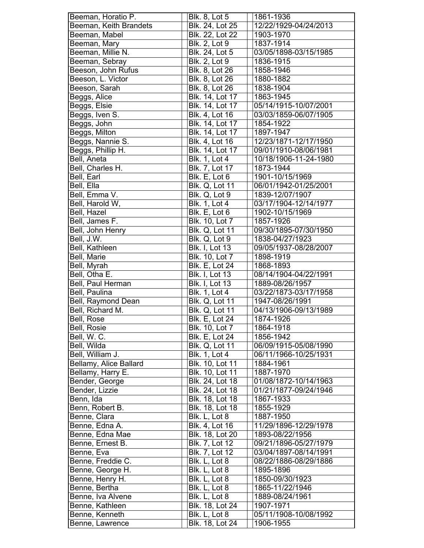| Beeman, Horatio P.                | <b>Blk. 8, Lot 5</b>             | 1861-1936                          |
|-----------------------------------|----------------------------------|------------------------------------|
| Beeman, Keith Brandets            | Blk. 24, Lot 25                  | 12/22/1929-04/24/2013              |
| Beeman, Mabel                     | Blk. 22, Lot 22                  | 1903-1970                          |
| Beeman, Mary                      | <b>Blk. 2, Lot 9</b>             | 1837-1914                          |
| Beeman, Millie N.                 | Blk. 24, Lot 5                   | 03/05/1898-03/15/1985              |
| Beeman, Sebray                    | <b>Blk. 2, Lot 9</b>             | 1836-1915                          |
| Beeson, John Rufus                | Blk. 8, Lot 26                   | 1858-1946                          |
| Beeson, L. Victor                 | Blk. 8, Lot 26                   | 1880-1882                          |
| Beeson, Sarah                     | Blk. 8, Lot 26                   | 1838-1904                          |
| Beggs, Alice                      | Blk. 14, Lot 17                  | 1863-1945                          |
| Beggs, Elsie                      | Blk. 14, Lot 17                  | 05/14/1915-10/07/2001              |
| Beggs, Iven S.                    | Blk. 4, Lot 16                   | 03/03/1859-06/07/1905              |
| Beggs, John                       | Blk. 14, Lot 17                  | 1854-1922                          |
| Beggs, Milton                     | Blk. 14, Lot 17                  | 1897-1947                          |
| Beggs, Nannie S.                  | Blk. 4, Lot 16                   | 12/23/1871-12/17/1950              |
| Beggs, Phillip H.                 | <b>Blk. 14, Lot 17</b>           | 09/01/1910-08/06/1981              |
| Bell, Aneta                       | <b>Blk. 1, Lot 4</b>             | 10/18/1906-11-24-1980              |
| Bell, Charles H.                  | Blk. 7, Lot 17                   | 1873-1944                          |
| Bell, Earl                        | Blk. E, Lot 6                    | 1901-10/15/1969                    |
| Bell, Ella                        | <b>Blk. Q, Lot 11</b>            | 06/01/1942-01/25/2001              |
| Bell, Emma V.                     | Blk. Q, Lot 9                    | 1839-12/07/1907                    |
| Bell, Harold W,                   | <b>Blk. 1, Lot 4</b>             | 03/17/1904-12/14/1977              |
| Bell, Hazel                       | Blk. E, Lot 6                    | 1902-10/15/1969                    |
| Bell, James F.                    | Blk. 10, Lot 7                   | 1857-1926                          |
| Bell, John Henry                  | <b>Blk. Q, Lot 11</b>            | 09/30/1895-07/30/1950              |
| Bell, J.W.                        | Blk. Q, Lot 9                    | 1838-04/27/1923                    |
| Bell, Kathleen                    | <b>Blk. I, Lot 13</b>            | 09/05/1937-08/28/2007              |
| Bell, Marie                       | Blk. 10, Lot 7                   | 1898-1919                          |
| Bell, Myrah                       | <b>Blk. E, Lot 24</b>            | 1868-1893                          |
| Bell, Otha E.                     | <b>Blk. I, Lot 13</b>            | 08/14/1904-04/22/1991              |
| <b>Bell, Paul Herman</b>          | <b>Blk. I, Lot 13</b>            | 1889-08/26/1957                    |
| Bell, Paulina                     | <b>Blk. 1, Lot 4</b>             | 03/22/1873-03/17/1958              |
| Bell, Raymond Dean                | <b>Blk. Q, Lot 11</b>            | 1947-08/26/1991                    |
| Bell, Richard M.                  | <b>Blk. Q, Lot 11</b>            | 04/13/1906-09/13/1989              |
| Bell, Rose                        | <b>Blk. E. Lot 24</b>            | 1874-1926                          |
| Bell, Rosie                       | Blk. 10, Lot 7                   | 1864-1918                          |
| Bell, W. C.                       | <b>Blk. E, Lot 24</b>            | 1856-1942                          |
| Bell, Wilda                       | <b>Blk. Q, Lot 11</b>            | 06/09/1915-05/08/1990              |
| Bell, William J.                  | <b>Blk. 1, Lot 4</b>             | 06/11/1966-10/25/1931              |
| Bellamy, Alice Ballard            | Blk. 10, Lot 11                  | 1884-1961                          |
| Bellamy, Harry E.                 | Blk. 10, Lot 11                  | 1887-1970                          |
| Bender, George                    | Blk. 24, Lot 18                  | 01/08/1872-10/14/1963              |
| Bender, Lizzie                    | Blk. 24, Lot 18                  | 01/21/1877-09/24/1946              |
| Benn, Ida                         | Blk. 18, Lot 18                  | 1867-1933                          |
| Benn, Robert B.                   | Blk. 18, Lot 18                  | 1855-1929                          |
| Benne, Clara                      | Blk. L, Lot 8                    |                                    |
|                                   |                                  | 1887-1950                          |
| Benne, Edna A.                    | Blk. 4, Lot 16                   | 11/29/1896-12/29/1978              |
| Benne, Edna Mae                   | Blk. 18, Lot 20                  | 1893-08/22/1956                    |
| Benne, Ernest B.                  | Blk. 7, Lot 12                   | 09/21/1896-05/27/1979              |
| Benne, Eva                        | Blk. 7, Lot 12                   | 03/04/1897-08/14/1991              |
| Benne, Freddie C.                 | Blk. L, Lot 8                    | 08/22/1886-08/29/1886              |
| Benne, George H.                  | Blk. L, Lot 8                    | 1895-1896                          |
| Benne, Henry H.                   | Blk. L, Lot 8                    | 1850-09/30/1923                    |
| Benne, Bertha                     | Blk. L, Lot 8                    | 1865-11/22/1946                    |
| Benne, Iva Alvene                 | Blk. L, Lot 8                    | 1889-08/24/1961                    |
|                                   |                                  |                                    |
| Benne, Kathleen                   | Blk. 18, Lot 24                  | 1907-1971                          |
| Benne, Kenneth<br>Benne, Lawrence | Blk. L, Lot 8<br>Blk. 18, Lot 24 | 05/11/1908-10/08/1992<br>1906-1955 |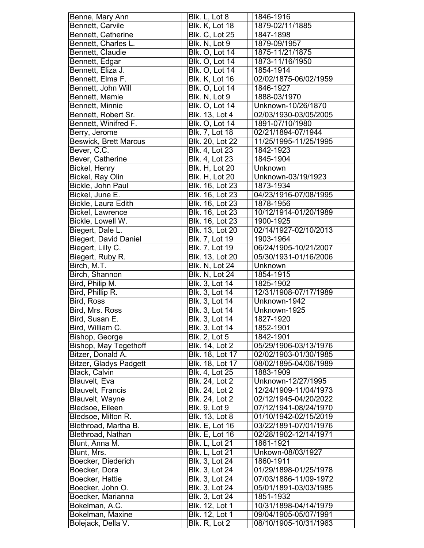| Benne, Mary Ann                        | Blk. L, Lot 8                   | 1846-1916                                      |
|----------------------------------------|---------------------------------|------------------------------------------------|
| <b>Bennett, Carvile</b>                | <b>Blk. K, Lot 18</b>           | 1879-02/11/1885                                |
| Bennett, Catherine                     | <b>Blk. C, Lot 25</b>           | 1847-1898                                      |
| Bennett, Charles L.                    | Blk. N, Lot 9                   | 1879-09/1957                                   |
| Bennett, Claudie                       | <b>Blk. O, Lot 14</b>           | 1875-11/21/1875                                |
| Bennett, Edgar                         | <b>Blk. O, Lot 14</b>           | 1873-11/16/1950                                |
| Bennett, Eliza J.                      | <b>Blk. O, Lot 14</b>           | 1854-1914                                      |
| Bennett, Elma F.                       | <b>Blk. K, Lot 16</b>           | 02/02/1875-06/02/1959                          |
| Bennett, John Will                     | <b>Blk. O, Lot 14</b>           | 1846-1927                                      |
| Bennett, Mamie                         | Blk. N, Lot 9                   | 1888-03/1970                                   |
| Bennett, Minnie                        | <b>Blk. O, Lot 14</b>           | Unknown-10/26/1870                             |
| Bennett, Robert Sr.                    | Blk. 13, Lot 4                  | 02/03/1930-03/05/2005                          |
| Bennett, Winifred F.                   | <b>Blk. O, Lot 14</b>           | 1891-07/10/1980                                |
| Berry, Jerome                          | <b>Blk. 7, Lot 18</b>           | 02/21/1894-07/1944                             |
| <b>Beswick, Brett Marcus</b>           | Blk. 20, Lot 22                 | 11/25/1995-11/25/1995                          |
| Bever, C.C.                            | <b>Blk. 4, Lot 23</b>           | 1842-1923                                      |
|                                        |                                 |                                                |
| Bever, Catherine                       | Blk. 4, Lot 23                  | 1845-1904                                      |
| Bickel, Henry                          | <b>Blk. H, Lot 20</b>           | Unknown                                        |
| Bickel, Ray Olin                       | <b>Blk. H, Lot 20</b>           | Unknown-03/19/1923                             |
| Bickle, John Paul                      | Blk. 16, Lot 23                 | 1873-1934                                      |
| Bickel, June E.                        | <b>Blk.</b> 16, Lot 23          | 04/23/1916-07/08/1995                          |
| Bickle, Laura Edith                    | Blk. 16, Lot 23                 | 1878-1956                                      |
| <b>Bickel, Lawrence</b>                | Blk. 16, Lot 23                 | 10/12/1914-01/20/1989                          |
| Bickle, Lowell W.                      | Blk. 16, Lot 23                 | 1900-1925                                      |
| Biegert, Dale L.                       | Blk. 13, Lot 20                 | 02/14/1927-02/10/2013                          |
| <b>Biegert, David Daniel</b>           | Blk. 7, Lot 19                  | 1903-1964                                      |
| Biegert, Lilly C.                      | Blk. 7, Lot 19                  | 06/24/1905-10/21/2007                          |
| Biegert, Ruby R.                       | Blk. 13, Lot 20                 | 05/30/1931-01/16/2006                          |
| Birch, M.T.                            | Blk. N, Lot 24                  | Unknown                                        |
|                                        |                                 |                                                |
|                                        |                                 |                                                |
| Birch, Shannon<br>Bird, Philip M.      | <b>Blk. N, Lot 24</b>           | 1854-1915<br>1825-1902                         |
|                                        | <b>Blk. 3, Lot 14</b>           |                                                |
| Bird, Phillip R.                       | <b>Blk. 3, Lot 14</b>           | 12/31/1908-07/17/1989                          |
| Bird, Ross                             | <b>Blk. 3, Lot 14</b>           | Unknown-1942                                   |
| Bird, Mrs. Ross                        | Blk. 3, Lot 14                  | Unknown-1925                                   |
| Bird, Susan E.                         | Blk. 3, Lot 14                  | 1827-1920                                      |
| Bird, William C.                       | Blk. 3, Lot 14                  | 1852-1901                                      |
| Bishop, George                         | <b>Blk. 2, Lot 5</b>            | 1842-1901                                      |
| Bishop, May Tegethoff                  | Blk. 14, Lot 2                  | 05/29/1906-03/13/1976                          |
| Bitzer, Donald A.                      | Blk. 18, Lot 17                 | 02/02/1903-01/30/1985                          |
| <b>Bitzer, Gladys Padgett</b>          | Blk. 18, Lot 17                 | 08/02/1895-04/06/1989                          |
| Black, Calvin                          | Blk. 4, Lot 25                  | 1883-1909                                      |
| Blauvelt, Eva                          | Blk. 24, Lot 2                  | Unknown-12/27/1995                             |
| <b>Blauvelt, Francis</b>               | Blk. 24, Lot 2                  | 12/24/1909-11/04/1973                          |
| <b>Blauvelt, Wayne</b>                 | Blk. 24, Lot 2                  | 02/12/1945-04/20/2022                          |
| Bledsoe, Eileen                        | <b>Blk. 9, Lot 9</b>            | 07/12/1941-08/24/1970                          |
| Bledsoe, Milton R.                     | Blk. 13, Lot 8                  | 01/10/1942-02/15/2019                          |
| Blethroad, Martha B.                   | <b>Blk. E, Lot 16</b>           | 03/22/1891-07/01/1976                          |
| Blethroad, Nathan                      | <b>Blk. E, Lot 16</b>           | 02/28/1902-12/14/1971                          |
| Blunt, Anna M.                         | <b>Blk. L, Lot 21</b>           | 1861-1921                                      |
| Blunt, Mrs.                            | <b>Blk. L, Lot 21</b>           | Unkown-08/03/1927                              |
| Boecker, Diederich                     | Blk. 3, Lot 24                  | 1860-1911                                      |
| Boecker, Dora                          | Blk. 3, Lot 24                  | 01/29/1898-01/25/1978                          |
| Boecker, Hattie                        | Blk. 3, Lot 24                  | 07/03/1886-11/09-1972                          |
| Boecker, John O.                       | Blk. 3, Lot 24                  | 05/01/1891-03/03/1985                          |
| Boecker, Marianna                      | Blk. 3, Lot 24                  | 1851-1932                                      |
| Bokelman, A.C.                         | Blk. 12, Lot 1                  | 10/31/1898-04/14/1979                          |
| Bokelman, Maxine<br>Bolejack, Della V. | Blk. 12, Lot 1<br>Blk. R, Lot 2 | 09/04/1905-05/07/1991<br>08/10/1905-10/31/1963 |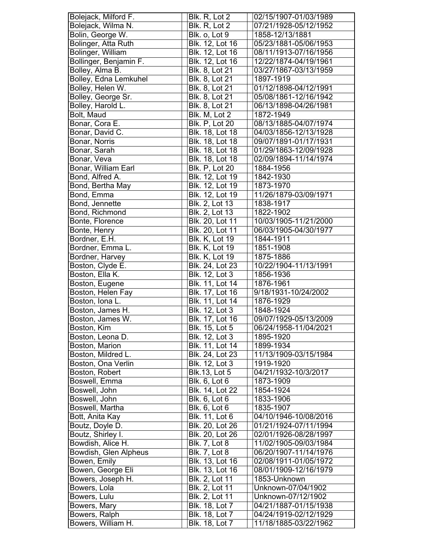| Bolejack, Milford F.          | Blk. R, Lot 2                           | 02/15/1907-01/03/1989                          |
|-------------------------------|-----------------------------------------|------------------------------------------------|
| Bolejack, Wilma N.            | Blk. R, Lot 2                           | 07/21/1928-05/12/1952                          |
| Bolin, George W.              | Blk. o, Lot 9                           | 1858-12/13/1881                                |
| Bolinger, Atta Ruth           | <b>Blk. 12, Lot 16</b>                  | 05/23/1881-05/06/1953                          |
| Bolinger, William             | Blk. 12, Lot 16                         | 08/11/1913-07/16/1956                          |
| Bollinger, Benjamin F.        | Blk. 12, Lot 16                         | 12/22/1874-04/19/1961                          |
| Bolley, Alma B.               | Blk. 8, Lot 21                          | 03/27/1867-03/13/1959                          |
| Bolley, Edna Lemkuhel         | Blk. 8, Lot 21                          | 1897-1919                                      |
| Bolley, Helen W.              | Blk. 8, Lot 21                          | 01/12/1898-04/12/1991                          |
| Bolley, George Sr.            | Blk. 8, Lot 21                          | 05/08/1861-12/16/1942                          |
| Bolley, Harold L.             | Blk. 8, Lot 21                          | 06/13/1898-04/26/1981                          |
| Bolt, Maud                    | Blk. M, Lot 2                           | 1872-1949                                      |
|                               |                                         |                                                |
| Bonar, Cora E.                | <b>Blk. P, Lot 20</b>                   | 08/13/1885-04/07/1974                          |
| Bonar, David C.               | Blk. 18, Lot 18                         | 04/03/1856-12/13/1928                          |
| Bonar, Norris                 | Blk. 18, Lot 18                         | 09/07/1891-01/17/1931                          |
| Bonar, Sarah                  | <b>Blk. 18, Lot 18</b>                  | 01/29/1863-12/09/1928                          |
| Bonar, Veva                   | Blk. 18, Lot 18                         | 02/09/1894-11/14/1974                          |
| Bonar, William Earl           | <b>Blk. P, Lot 20</b>                   | 1884-1956                                      |
| Bond, Alfred A.               | Blk. 12, Lot 19                         | 1842-1930                                      |
| Bond, Bertha May              | Blk. 12, Lot 19                         | 1873-1970                                      |
| Bond, Emma                    | Blk. 12, Lot 19                         | 11/26/1879-03/09/1971                          |
| Bond, Jennette                | Blk. 2, Lot 13                          | 1838-1917                                      |
| Bond, Richmond                | Blk. 2, Lot 13                          | 1822-1902                                      |
| Bonte, Florence               | Blk. 20, Lot 11                         | 10/03/1905-11/21/2000                          |
| Bonte, Henry                  | Blk. 20, Lot 11                         | 06/03/1905-04/30/1977                          |
| Bordner, E.H.                 | <b>Blk. K, Lot 19</b>                   | 1844-1911                                      |
| Bordner, Emma L.              | <b>Blk. K, Lot 19</b>                   | 1851-1908                                      |
| Bordner, Harvey               | Blk. K, Lot 19                          | 1875-1886                                      |
| Boston, Clyde E.              | Blk. 24, Lot 23                         | 10/22/1904-11/13/1991                          |
| Boston, Ella K.               | Blk. 12, Lot 3                          | 1856-1936                                      |
| Boston, Eugene                | <b>Blk. 11, Lot 14</b>                  | 1876-1961                                      |
| Boston, Helen Fay             | Blk. 17, Lot 16                         | 9/18/1931-10/24/2002                           |
| Boston, Iona L.               | Blk. 11, Lot 14                         | 1876-1929                                      |
| Boston, James H.              | <b>Blk. 12, Lot 3</b>                   | 1848-1924                                      |
| Boston, James W.              | Blk. 17, Lot 16                         | 09/07/1929-05/13/2009                          |
| Boston, Kim                   | Blk. 15, Lot 5                          | 06/24/1958-11/04/2021                          |
| Boston, Leona D.              | Blk. 12, Lot 3                          | 1895-1920                                      |
| Boston, Marion                | Blk. 11, Lot 14                         | 1899-1934                                      |
| Boston, Mildred L.            | Blk. 24, Lot 23                         | 11/13/1909-03/15/1984                          |
| Boston, Ona Verlin            | Blk. 12, Lot 3                          | 1919-1920                                      |
| Boston, Robert                | <b>Blk.13, Lot 5</b>                    | 04/21/1932-10/3/2017                           |
| Boswell, Emma                 | Blk. 6, Lot 6                           | 1873-1909                                      |
| Boswell, John                 | Blk. 14, Lot 22                         | 1854-1924                                      |
| Boswell, John                 | Blk. 6, Lot 6                           | 1833-1906                                      |
| Boswell, Martha               | Blk. 6, Lot 6                           | 1835-1907                                      |
| Bott, Anita Kay               | Blk. 11, Lot 6                          | 04/10/1946-10/08/2016                          |
| Boutz, Doyle D.               | Blk. 20, Lot 26                         | 01/21/1924-07/11/1994                          |
| Boutz, Shirley I.             | Blk. 20, Lot 26                         | 02/01/1926-08/28/1997                          |
| Bowdish, Alice H.             | <b>Blk. 7, Lot 8</b>                    | 11/02/1905-09/03/1984                          |
| Bowdish, Glen Alpheus         | <b>Blk. 7, Lot 8</b>                    | 06/20/1907-11/14/1976                          |
| Bowen, Emily                  | Blk. 13, Lot 16                         | 02/08/1911-01/05/1972                          |
| Bowen, George Eli             | Blk. 13, Lot 16                         | 08/01/1909-12/16/1979                          |
| Bowers, Joseph H.             | Blk. 2, Lot 11                          | 1853-Unknown                                   |
| Bowers, Lola                  |                                         |                                                |
|                               |                                         | Unknown-07/04/1902                             |
|                               | <b>Blk. 2, Lot 11</b>                   |                                                |
| Bowers, Lulu                  | Blk. 2, Lot 11                          | Unknown-07/12/1902                             |
| Bowers, Mary<br>Bowers, Ralph | Blk. 18, Lot 7<br><b>Blk. 18, Lot 7</b> | 04/21/1887-01/15/1938<br>04/24/1919-02/12/1929 |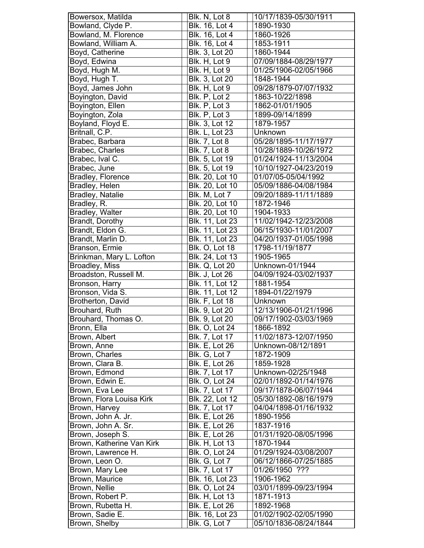| Bowersox, Matilda                | Blk. N, Lot 8                    | 10/17/1839-05/30/1911                          |
|----------------------------------|----------------------------------|------------------------------------------------|
| Bowland, Clyde P.                | Blk. 16, Lot 4                   | 1890-1930                                      |
| Bowland, M. Florence             | Blk. 16, Lot 4                   | 1860-1926                                      |
| Bowland, William A.              | <b>Blk. 16, Lot 4</b>            | 1853-1911                                      |
| Boyd, Catherine                  | <b>Blk. 3, Lot 20</b>            | 1860-1944                                      |
| Boyd, Edwina                     | Blk. H, Lot 9                    | 07/09/1884-08/29/1977                          |
| Boyd, Hugh M.                    | Blk. H, Lot 9                    | 01/25/1906-02/05/1966                          |
| Boyd, Hugh T.                    | Blk. 3, Lot 20                   | 1848-1944                                      |
| Boyd, James John                 | Blk. H, Lot 9                    | 09/28/1879-07/07/1932                          |
| Boyington, David                 | Blk. P, Lot 2                    | 1863-10/22/1898                                |
| Boyington, Ellen                 | Blk. P, Lot 3                    | 1862-01/01/1905                                |
| Boyington, Zola                  | Blk. P, Lot 3                    | 1899-09/14/1899                                |
| Boyland, Floyd E.                | Blk. 3, Lot 12                   | 1879-1957                                      |
| Britnall, C.P.                   | Blk. L, Lot 23                   | Unknown                                        |
| Brabec, Barbara                  | <b>Blk. 7, Lot 8</b>             | 05/28/1895-11/17/1977                          |
| Brabec, Charles                  | <b>Blk. 7, Lot 8</b>             | 10/28/1889-10/26/1972                          |
| Brabec, Ival C.                  | <b>Blk. 5, Lot 19</b>            | 01/24/1924-11/13/2004                          |
| Brabec, June                     | <b>Blk. 5, Lot 19</b>            | 10/10/1927-04/23/2019                          |
| Bradley, Florence                | Blk. 20, Lot 10                  | 01/07/05-05/04/1992                            |
| Bradley, Helen                   | Blk. 20, Lot 10                  | 05/09/1886-04/08/1984                          |
| <b>Bradley, Natalie</b>          | Blk. M, Lot 7                    | 09/20/1889-11/11/1889                          |
|                                  |                                  |                                                |
| Bradley, R.                      | Blk. 20, Lot 10                  | 1872-1946                                      |
| <b>Bradley, Walter</b>           | Blk. 20, Lot 10                  | 1904-1933                                      |
| Brandt, Dorothy                  | Blk. 11, Lot 23                  | 11/02/1942-12/23/2008                          |
| Brandt, Eldon G.                 | Blk. 11, Lot 23                  | 06/15/1930-11/01/2007                          |
| Brandt, Marlin D.                | Blk. 11, Lot 23                  | 04/20/1937-01/05/1998                          |
| Branson, Ermie                   | <b>Blk. O, Lot 18</b>            | 1798-11/19/1877                                |
| Brinkman, Mary L. Lofton         | Blk. 24, Lot 13                  | 1905-1965                                      |
| <b>Broadley, Miss</b>            | <b>Blk. Q, Lot 20</b>            | Unknown-01/1944                                |
| Broadston, Russell M.            | Blk. J, Lot 26                   | 04/09/1924-03/02/1937                          |
| Bronson, Harry                   | Blk. 11, Lot 12                  | 1881-1954                                      |
|                                  |                                  |                                                |
| Bronson, Vida S.                 | Blk. 11, Lot 12                  | 1894-01/22/1979                                |
| Brotherton, David                | <b>Blk. F, Lot 18</b>            | Unknown                                        |
| Brouhard, Ruth                   | <b>Blk.</b> 9, Lot 20            | 12/13/1906-01/21/1996                          |
| Brouhard, Thomas O.              | Blk. 9, Lot 20                   | 09/17/1902-03/03/1969                          |
| Bronn, Ella                      | Blk. O, Lot 24                   | 1866-1892                                      |
| Brown, Albert                    | Blk. 7, Lot 17                   | 11/02/1873-12/07/1950                          |
| Brown, Anne                      | Blk. E, Lot 26                   | Unknown-08/12/1891                             |
| Brown, Charles                   | Blk. G, Lot 7                    | 1872-1909                                      |
| Brown, Clara B.                  | <b>Blk. E, Lot 26</b>            | 1859-1928                                      |
| Brown, Edmond                    | Blk. 7, Lot 17                   | Unknown-02/25/1948                             |
| Brown, Edwin E.                  | <b>Blk. O, Lot 24</b>            | 02/01/1892-01/14/1976                          |
|                                  | Blk. 7, Lot 17                   | 09/17/1878-06/07/1944                          |
| Brown, Eva Lee                   |                                  |                                                |
| Brown, Flora Louisa Kirk         | Blk. 22, Lot 12                  | 05/30/1892-08/16/1979                          |
| Brown, Harvey                    | Blk. 7, Lot 17                   | 04/04/1898-01/16/1932                          |
| Brown, John A. Jr.               | <b>Blk. E, Lot 26</b>            | 1890-1956                                      |
| Brown, John A. Sr.               | <b>Blk. E, Lot 26</b>            | 1837-1916                                      |
| Brown, Joseph S.                 | <b>Blk. E, Lot 26</b>            | 01/31/1920-08/05/1996                          |
| Brown, Katherine Van Kirk        | <b>Blk. H, Lot 13</b>            | 1870-1944                                      |
| Brown, Lawrence H.               | <b>Blk. O, Lot 24</b>            | 01/29/1924-03/08/2007                          |
| Brown, Leon O.                   | Blk. G, Lot 7                    | 06/12/1866-07/25/1885                          |
| Brown, Mary Lee                  | Blk. 7, Lot 17                   | 01/26/1950 ???                                 |
| Brown, Maurice                   | Blk. 16, Lot 23                  | 1906-1962                                      |
| Brown, Nellie                    | <b>Blk. O, Lot 24</b>            | 03/01/1899-09/23/1994                          |
| Brown, Robert P.                 | <b>Blk. H, Lot 13</b>            | 1871-1913                                      |
| Brown, Rubetta H.                | <b>Blk. E, Lot 26</b>            | 1892-1968                                      |
| Brown, Sadie E.<br>Brown, Shelby | Blk. 16, Lot 23<br>Blk. G, Lot 7 | 01/02/1902-02/05/1990<br>05/10/1836-08/24/1844 |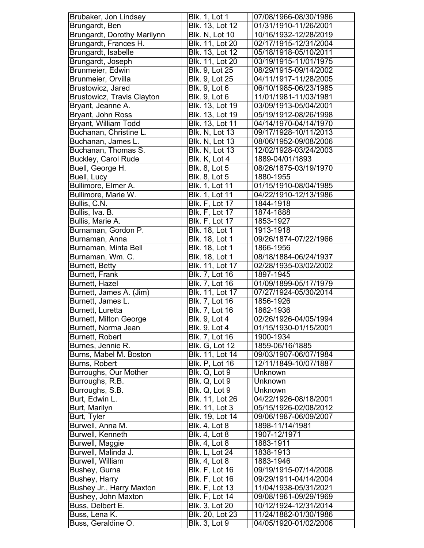| Brubaker, Jon Lindsey              | <b>Blk. 1, Lot 1</b>  | 07/08/1966-08/30/1986 |
|------------------------------------|-----------------------|-----------------------|
| Brungardt, Ben                     | Blk. 13, Lot 12       | 01/31/1910-11/26/2001 |
| <b>Brungardt, Dorothy Marilynn</b> | <b>Blk. N, Lot 10</b> | 10/16/1932-12/28/2019 |
| Brungardt, Frances H.              | Blk. 11, Lot 20       | 02/17/1915-12/31/2004 |
| Brungardt, Isabelle                | Blk. 13, Lot 12       | 05/18/1918-05/10/2011 |
| Brungardt, Joseph                  | Blk. 11, Lot 20       | 03/19/1915-11/01/1975 |
| Brunmeier, Edwin                   | Blk. 9, Lot 25        | 08/29/1915-09/14/2002 |
| Brunmeier, Orvilla                 | Blk. 9, Lot 25        | 04/11/1917-11/28/2005 |
| Brustowicz, Jared                  | <b>Blk. 9, Lot 6</b>  | 06/10/1985-06/23/1985 |
| <b>Brustowicz, Travis Clayton</b>  | <b>Blk. 9, Lot 6</b>  | 11/01/1981-11/03/1981 |
| Bryant, Jeanne A.                  | Blk. 13, Lot 19       | 03/09/1913-05/04/2001 |
|                                    |                       |                       |
| Bryant, John Ross                  | Blk. 13, Lot 19       | 05/19/1912-08/26/1998 |
| Bryant, William Todd               | Blk. 13, Lot 11       | 04/14/1970-04/14/1970 |
| Buchanan, Christine L.             | <b>Blk. N, Lot 13</b> | 09/17/1928-10/11/2013 |
| Buchanan, James L.                 | <b>Blk. N, Lot 13</b> | 08/06/1952-09/08/2006 |
| Buchanan, Thomas S.                | <b>Blk. N, Lot 13</b> | 12/02/1928-03/24/2003 |
| <b>Buckley, Carol Rude</b>         | Blk. K, Lot 4         | 1889-04/01/1893       |
| Buell, George H.                   | <b>Blk. 8, Lot 5</b>  | 08/26/1875-03/19/1970 |
| Buell, Lucy                        | <b>Blk. 8, Lot 5</b>  | 1880-1955             |
| Bullimore, Elmer A.                | Blk. 1, Lot 11        | 01/15/1910-08/04/1985 |
| Bullimore, Marie W.                | <b>Blk. 1, Lot 11</b> | 04/22/1910-12/13/1986 |
| Bullis, C.N.                       | <b>Blk. F, Lot 17</b> | 1844-1918             |
| Bullis, Iva. B.                    | <b>Blk. F, Lot 17</b> | 1874-1888             |
| Bullis, Marie A.                   | <b>Blk. F, Lot 17</b> | 1853-1927             |
| Burnaman, Gordon P.                | <b>Blk.</b> 18, Lot 1 | 1913-1918             |
| Burnaman, Anna                     | Blk. 18, Lot 1        | 09/26/1874-07/22/1966 |
| Burnaman, Minta Bell               | Blk. 18, Lot 1        | 1866-1956             |
| Burnaman, Wm. C.                   | <b>Blk. 18, Lot 1</b> | 08/18/1884-06/24/1937 |
| Burnett, Betty                     | Blk. 11, Lot 17       | 02/28/1935-03/02/2002 |
| Burnett, Frank                     | Blk. 7, Lot 16        | 1897-1945             |
| <b>Burnett, Hazel</b>              | Blk. 7, Lot 16        | 01/09/1899-05/17/1979 |
| Burnett, James A. (Jim)            | Blk. 11, Lot 17       | 07/27/1924-05/30/2014 |
| Burnett, James L.                  | Blk. 7, Lot 16        | 1856-1926             |
| <b>Burnett, Luretta</b>            | <b>Blk. 7, Lot 16</b> | 1862-1936             |
| <b>Burnett, Milton George</b>      | <b>Blk. 9, Lot 4</b>  | 02/26/1926-04/05/1994 |
| Burnett, Norma Jean                | Blk. 9, Lot 4         | 01/15/1930-01/15/2001 |
| Burnett, Robert                    | <b>Blk. 7, Lot 16</b> | 1900-1934             |
| Burnes, Jennie R.                  | <b>Blk. G, Lot 12</b> | 1859-06/16/1885       |
| Burns, Mabel M. Boston             | Blk. 11, Lot 14       | 09/03/1907-06/07/1984 |
| Burns, Robert                      | <b>Blk. P, Lot 16</b> | 12/11/1849-10/07/1887 |
| <b>Burroughs, Our Mother</b>       | Blk. Q, Lot 9         | Unknown               |
| Burroughs, R.B.                    | Blk. Q, Lot 9         | Unknown               |
| Burroughs, S.B.                    | Blk. Q, Lot 9         | Unknown               |
| Burt, Edwin L.                     | Blk. 11, Lot 26       | 04/22/1926-08/18/2001 |
| Burt, Marilyn                      | Blk. 11, Lot 3        | 05/15/1926-02/08/2012 |
| Burt, Tyler                        | Blk. 19, Lot 14       | 09/06/1987-06/09/2007 |
| Burwell, Anna M.                   | <b>Blk. 4, Lot 8</b>  | 1898-11/14/1981       |
| Burwell, Kenneth                   | <b>Blk. 4, Lot 8</b>  | 1907-12/1971          |
| Burwell, Maggie                    | <b>Blk. 4, Lot 8</b>  | 1883-1911             |
| Burwell, Malinda J.                | <b>Blk. L, Lot 24</b> | 1838-1913             |
| Burwell, William                   | <b>Blk. 4, Lot 8</b>  | 1883-1946             |
| Bushey, Gurna                      | Blk. F, Lot 16        | 09/19/1915-07/14/2008 |
| Bushey, Harry                      | <b>Blk. F, Lot 16</b> | 09/29/1911-04/14/2004 |
| Bushey Jr., Harry Maxton           | <b>Blk. F, Lot 13</b> | 11/04/1938-05/31/2021 |
| Bushey, John Maxton                | <b>Blk. F, Lot 14</b> | 09/08/1961-09/29/1969 |
| Buss, Delbert E.                   | Blk. 3, Lot 20        | 10/12/1924-12/31/2014 |
| Buss, Lena K.                      | Blk. 20, Lot 23       | 11/24/1882-01/30/1986 |
| Buss, Geraldine O.                 | <b>Blk. 3, Lot 9</b>  | 04/05/1920-01/02/2006 |